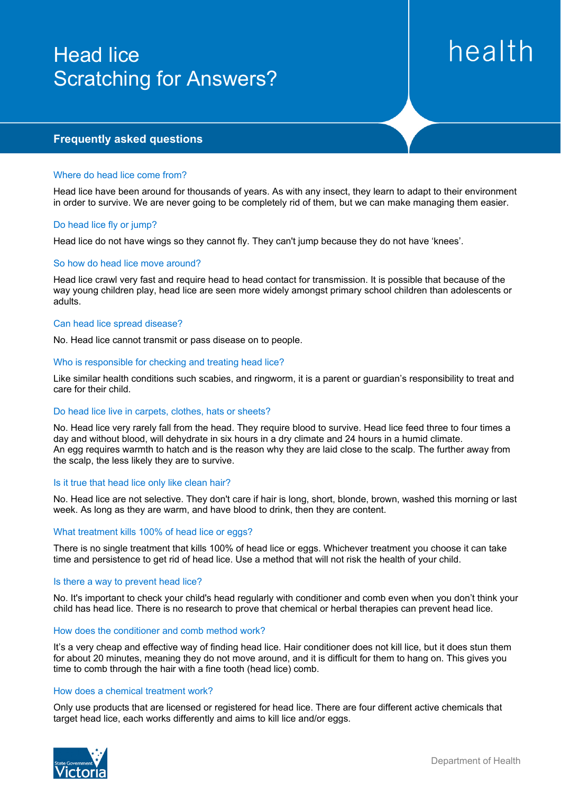# Head lice Scratching for Answers?

# health

# **Frequently asked questions**

#### Where do head lice come from?

Head lice have been around for thousands of years. As with any insect, they learn to adapt to their environment in order to survive. We are never going to be completely rid of them, but we can make managing them easier.

#### Do head lice fly or jump?

Head lice do not have wings so they cannot fly. They can't jump because they do not have 'knees'.

#### So how do head lice move around?

Head lice crawl very fast and require head to head contact for transmission. It is possible that because of the way young children play, head lice are seen more widely amongst primary school children than adolescents or adults.

#### Can head lice spread disease?

No. Head lice cannot transmit or pass disease on to people.

#### Who is responsible for checking and treating head lice?

Like similar health conditions such scabies, and ringworm, it is a parent or guardian's responsibility to treat and care for their child.

#### Do head lice live in carpets, clothes, hats or sheets?

No. Head lice very rarely fall from the head. They require blood to survive. Head lice feed three to four times a day and without blood, will dehydrate in six hours in a dry climate and 24 hours in a humid climate. An egg requires warmth to hatch and is the reason why they are laid close to the scalp. The further away from the scalp, the less likely they are to survive.

#### Is it true that head lice only like clean hair?

No. Head lice are not selective. They don't care if hair is long, short, blonde, brown, washed this morning or last week. As long as they are warm, and have blood to drink, then they are content.

#### What treatment kills 100% of head lice or eggs?

There is no single treatment that kills 100% of head lice or eggs. Whichever treatment you choose it can take time and persistence to get rid of head lice. Use a method that will not risk the health of your child.

#### Is there a way to prevent head lice?

No. It's important to check your child's head regularly with conditioner and comb even when you don't think your child has head lice. There is no research to prove that chemical or herbal therapies can prevent head lice.

#### How does the conditioner and comb method work?

It's a very cheap and effective way of finding head lice. Hair conditioner does not kill lice, but it does stun them for about 20 minutes, meaning they do not move around, and it is difficult for them to hang on. This gives you time to comb through the hair with a fine tooth (head lice) comb.

#### How does a chemical treatment work?

Only use products that are licensed or registered for head lice. There are four different active chemicals that target head lice, each works differently and aims to kill lice and/or eggs.